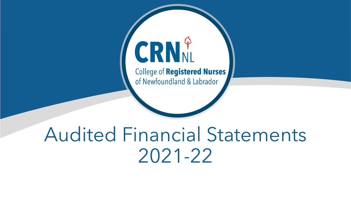# CRNN

**College of Registered Nurses** of Newfoundland & Labrador

# Audited Financial Statements 2021-22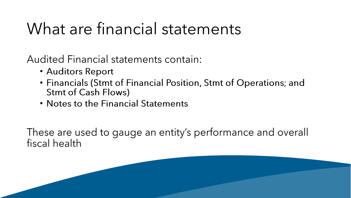# What are financial statements

**Audited Financial statements contain:** 

- Auditors Report
- Financials (Stmt of Financial Position, Stmt of Operations; and **Stmt of Cash Flows)**
- Notes to the Financial Statements

These are used to gauge an entity's performance and overall fiscal health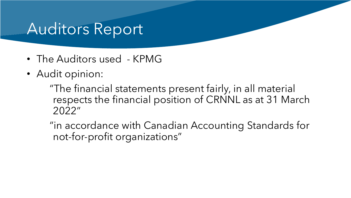## Auditors Report

- The Auditors used KPMG
- Audit opinion:

"The financial statements present fairly, in all material respects the financial position of CRNNL as at 31 March 2022"

"in accordance with Canadian Accounting Standards for not-for-profit organizations"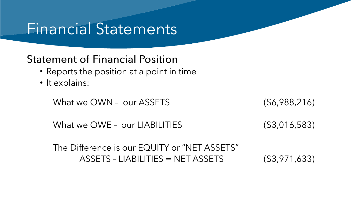#### Financial Statements

#### **Statement of Financial Position**

- Reports the position at a point in time
- It explains:

What we OWN - our ASSETS

 $($ \$6,988,216)

What we OWE - our LIABILITIES  $($3,016,583)$ 

The Difference is our EQUITY or "NET ASSETS" ASSETS - LIABILITIES = NET ASSETS  $( $3,971,633)$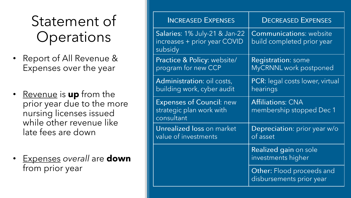## Statement of **Operations**

- Report of All Revenue & Expenses over the year
- Revenue is **up** from the prior year due to the more nursing licenses issued while other revenue like late fees are down
- Expenses *overall* are **down** from prior year

| <b>INCREASED EXPENSES</b>                                                 | <b>DECREASED EXPENSES</b>                                    |
|---------------------------------------------------------------------------|--------------------------------------------------------------|
| Salaries: 1% July-21 & Jan-22<br>increases + prior year COVID<br>subsidy  | <b>Communications: website</b><br>build completed prior year |
| <b>Practice &amp; Policy: website/</b><br>program for new CCP             | <b>Registration: some</b><br>MyCRNNL work postponed          |
| Administration: oil costs,<br>building work, cyber audit                  | PCR: legal costs lower, virtual<br>hearings                  |
| <b>Expenses of Council: new</b><br>strategic plan work with<br>consultant | <b>Affiliations: CNA</b><br>membership stopped Dec 1         |
| Unrealized loss on market<br>value of investments                         | Depreciation: prior year w/o<br>of asset                     |
|                                                                           | Realized gain on sole<br>investments higher                  |
|                                                                           | <b>Other: Flood proceeds and</b><br>disbursements prior year |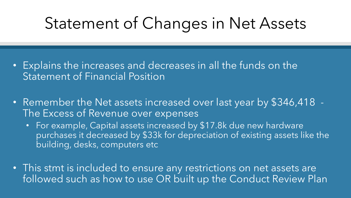# Statement of Changes in Net Assets

- Explains the increases and decreases in all the funds on the Statement of Financial Position
- Remember the Net assets increased over last year by \$346,418 The Excess of Revenue over expenses
	- For example, Capital assets increased by \$17.8k due new hardware purchases it decreased by \$33k for depreciation of existing assets like the building, desks, computers etc
- This stmt is included to ensure any restrictions on net assets are followed such as how to use OR built up the Conduct Review Plan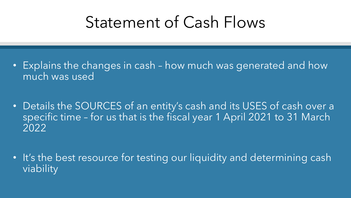# Statement of Cash Flows

- Explains the changes in cash how much was generated and how much was used
- Details the SOURCES of an entity's cash and its USES of cash over a specific time - for us that is the fiscal year 1 April 2021 to 31 March 2022
- It's the best resource for testing our liquidity and determining cash viability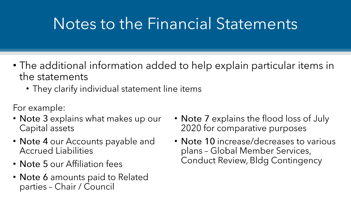# Notes to the Financial Statements

- The additional information added to help explain particular items in the statements
	- They clarify individual statement line items

For example:

- Note 3 explains what makes up our Capital assets
- Note 4 our Accounts payable and **Accrued Liabilities**
- Note 5 our Affiliation fees
- Note 6 amounts paid to Related parties - Chair / Council
- Note 7 explains the flood loss of July 2020 for comparative purposes
- Note 10 increase/decreases to various plans - Global Member Services, **Conduct Review, Bldg Contingency**